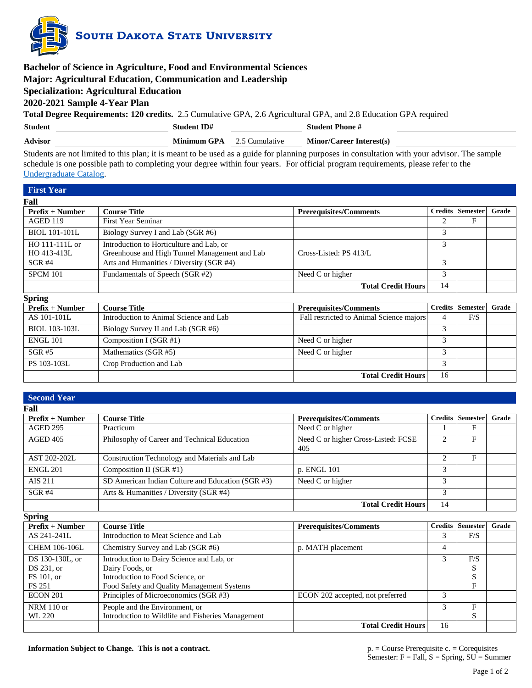

| <b>Bachelor of Science in Agriculture, Food and Environmental Sciences</b> |                                                                                                                                              |                                 |  |  |  |  |  |  |
|----------------------------------------------------------------------------|----------------------------------------------------------------------------------------------------------------------------------------------|---------------------------------|--|--|--|--|--|--|
|                                                                            | Major: Agricultural Education, Communication and Leadership                                                                                  |                                 |  |  |  |  |  |  |
|                                                                            | <b>Specialization: Agricultural Education</b>                                                                                                |                                 |  |  |  |  |  |  |
|                                                                            | 2020-2021 Sample 4-Year Plan                                                                                                                 |                                 |  |  |  |  |  |  |
|                                                                            | <b>Total Degree Requirements: 120 credits.</b> 2.5 Cumulative GPA, 2.6 Agricultural GPA, and 2.8 Education GPA required                      |                                 |  |  |  |  |  |  |
| <b>Student</b>                                                             | <b>Student ID#</b><br><b>Student Phone #</b>                                                                                                 |                                 |  |  |  |  |  |  |
| <b>Advisor</b>                                                             | 2.5 Cumulative<br><b>Minimum GPA</b>                                                                                                         | <b>Minor/Career Interest(s)</b> |  |  |  |  |  |  |
|                                                                            | Students are not limited to this plan; it is meant to be used as a guide for planning purposes in consultation with your advisor. The sample |                                 |  |  |  |  |  |  |

schedule is one possible path to completing your degree within four years. For official program requirements, please refer to the [Undergraduate Catalog.](http://catalog.sdstate.edu/)

| <b>First Year</b>    |                                               |                                          |                |                 |       |
|----------------------|-----------------------------------------------|------------------------------------------|----------------|-----------------|-------|
| Fall                 |                                               |                                          |                |                 |       |
| $Prefix + Number$    | <b>Course Title</b>                           | <b>Prerequisites/Comments</b>            | <b>Credits</b> | <b>Semester</b> | Grade |
| <b>AGED 119</b>      | First Year Seminar                            |                                          | 2              | F               |       |
| BIOL 101-101L        | Biology Survey I and Lab (SGR #6)             |                                          | 3              |                 |       |
| HO 111-111L or       | Introduction to Horticulture and Lab, or      |                                          | 3              |                 |       |
| HO 413-413L          | Greenhouse and High Tunnel Management and Lab | Cross-Listed: PS 413/L                   |                |                 |       |
| $SGR$ #4             | Arts and Humanities / Diversity (SGR #4)      |                                          | 3              |                 |       |
| <b>SPCM 101</b>      | Fundamentals of Speech (SGR #2)               | Need C or higher                         | 3              |                 |       |
|                      |                                               | <b>Total Credit Hours</b>                | 14             |                 |       |
| <b>Spring</b>        |                                               |                                          |                |                 |       |
| $Prefix + Number$    | <b>Course Title</b>                           | <b>Prerequisites/Comments</b>            | <b>Credits</b> | <b>Semester</b> | Grade |
| AS 101-101L          | Introduction to Animal Science and Lab        | Fall restricted to Animal Science majors | 4              | F/S             |       |
| <b>BIOL 103-103L</b> | Biology Survey II and Lab (SGR #6)            |                                          | 3              |                 |       |

| <b>BIOL 103-103L</b> | Biology Survey II and Lab (SGR #6) |                           |    |  |
|----------------------|------------------------------------|---------------------------|----|--|
| ENGL 101             | Composition I (SGR $#1$ )          | Need C or higher          |    |  |
| $SGR \#5$            | Mathematics (SGR #5)               | Need C or higher          |    |  |
| PS 103-103L          | Crop Production and Lab            |                           |    |  |
|                      |                                    | <b>Total Credit Hours</b> | 16 |  |

| <b>Second Year</b> |                                                   |                                            |                |                 |       |
|--------------------|---------------------------------------------------|--------------------------------------------|----------------|-----------------|-------|
| Fall               |                                                   |                                            |                |                 |       |
| $Prefix + Number$  | <b>Course Title</b>                               | <b>Prerequisites/Comments</b>              | <b>Credits</b> | <b>Semester</b> | Grade |
| <b>AGED 295</b>    | Practicum                                         | Need C or higher                           |                | F               |       |
| AGED 405           | Philosophy of Career and Technical Education      | Need C or higher Cross-Listed: FCSE<br>405 | $\overline{c}$ | F               |       |
| AST 202-202L       | Construction Technology and Materials and Lab     |                                            | $\overline{c}$ | F               |       |
| <b>ENGL 201</b>    | Composition II (SGR #1)                           | p. ENGL 101                                | 3              |                 |       |
| <b>AIS 211</b>     | SD American Indian Culture and Education (SGR #3) | Need C or higher                           | 3              |                 |       |
| $SGR$ #4           | Arts & Humanities / Diversity (SGR #4)            |                                            | 3              |                 |       |
|                    |                                                   | <b>Total Credit Hours</b>                  | 14             |                 |       |
| <b>Spring</b>      |                                                   |                                            |                |                 |       |
| $Prefix + Number$  | <b>Course Title</b>                               | <b>Prerequisites/Comments</b>              | <b>Credits</b> | <b>Semester</b> | Grade |
| AS 241-241L        | Introduction to Meat Science and Lab              |                                            | 3              | F/S             |       |
| CHEM 106-106L      | Chemistry Survey and Lab (SGR #6)                 | p. MATH placement                          | 4              |                 |       |
| DS 130-130L, or    | Introduction to Dairy Science and Lab, or         |                                            | 3              | F/S             |       |
| DS 231, or         | Dairy Foods, or                                   |                                            |                | S               |       |
| FS 101, or         | Introduction to Food Science, or                  |                                            |                | S               |       |
| <b>FS 251</b>      | Food Safety and Quality Management Systems        |                                            |                | F               |       |
| <b>ECON 201</b>    | Principles of Microeconomics (SGR #3)             | ECON 202 accepted, not preferred           | 3              |                 |       |
| NRM 110 or         | People and the Environment, or                    |                                            | 3              | $\mathbf{F}$    |       |
| WL 220             | Introduction to Wildlife and Fisheries Management |                                            |                | S               |       |
|                    |                                                   | <b>Total Credit Hours</b>                  | 16             |                 |       |

**Information Subject to Change. This is not a contract.** p. = Course Prerequisite c. = Corequisites